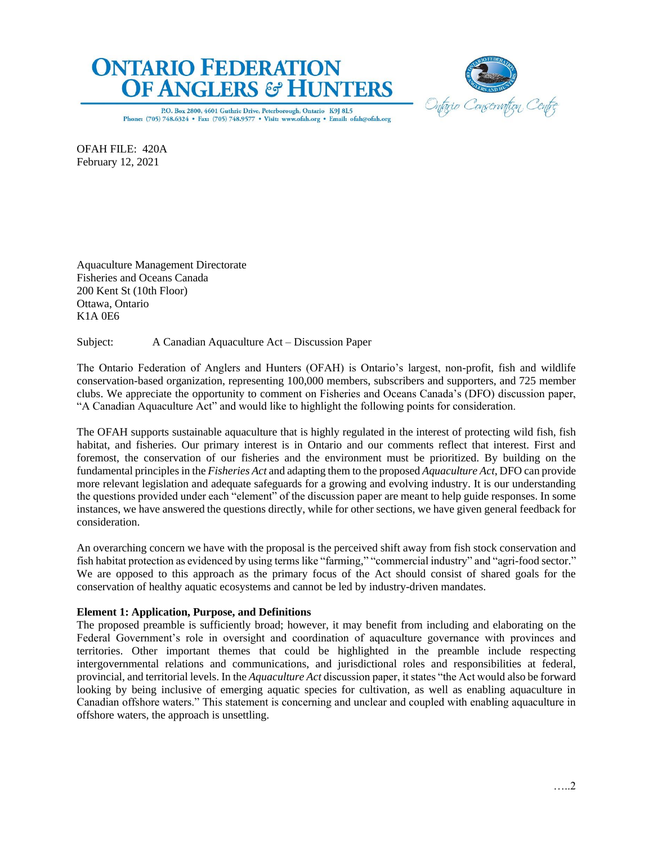



P.O. Box 2800, 4601 Guthrie Drive, Peterborough, Ontario K9J 8L5 Phone: (705) 748.6324 • Fax: (705) 748.9577 • Visit: www.ofah.org • Email: ofah@ofah.org

OFAH FILE: 420A February 12, 2021

Aquaculture Management Directorate Fisheries and Oceans Canada 200 Kent St (10th Floor) Ottawa, Ontario K1A 0E6

Subject: A Canadian Aquaculture Act – Discussion Paper

The Ontario Federation of Anglers and Hunters (OFAH) is Ontario's largest, non-profit, fish and wildlife conservation-based organization, representing 100,000 members, subscribers and supporters, and 725 member clubs. We appreciate the opportunity to comment on Fisheries and Oceans Canada's (DFO) discussion paper, "A Canadian Aquaculture Act" and would like to highlight the following points for consideration.

The OFAH supports sustainable aquaculture that is highly regulated in the interest of protecting wild fish, fish habitat, and fisheries. Our primary interest is in Ontario and our comments reflect that interest. First and foremost, the conservation of our fisheries and the environment must be prioritized. By building on the fundamental principles in the *Fisheries Act* and adapting them to the proposed *Aquaculture Act*, DFO can provide more relevant legislation and adequate safeguards for a growing and evolving industry. It is our understanding the questions provided under each "element" of the discussion paper are meant to help guide responses. In some instances, we have answered the questions directly, while for other sections, we have given general feedback for consideration.

An overarching concern we have with the proposal is the perceived shift away from fish stock conservation and fish habitat protection as evidenced by using terms like "farming," "commercial industry" and "agri-food sector." We are opposed to this approach as the primary focus of the Act should consist of shared goals for the conservation of healthy aquatic ecosystems and cannot be led by industry-driven mandates.

### **Element 1: Application, Purpose, and Definitions**

The proposed preamble is sufficiently broad; however, it may benefit from including and elaborating on the Federal Government's role in oversight and coordination of aquaculture governance with provinces and territories. Other important themes that could be highlighted in the preamble include respecting intergovernmental relations and communications, and jurisdictional roles and responsibilities at federal, provincial, and territorial levels. In the *Aquaculture Act* discussion paper, it states "the Act would also be forward looking by being inclusive of emerging aquatic species for cultivation, as well as enabling aquaculture in Canadian offshore waters." This statement is concerning and unclear and coupled with enabling aquaculture in offshore waters, the approach is unsettling.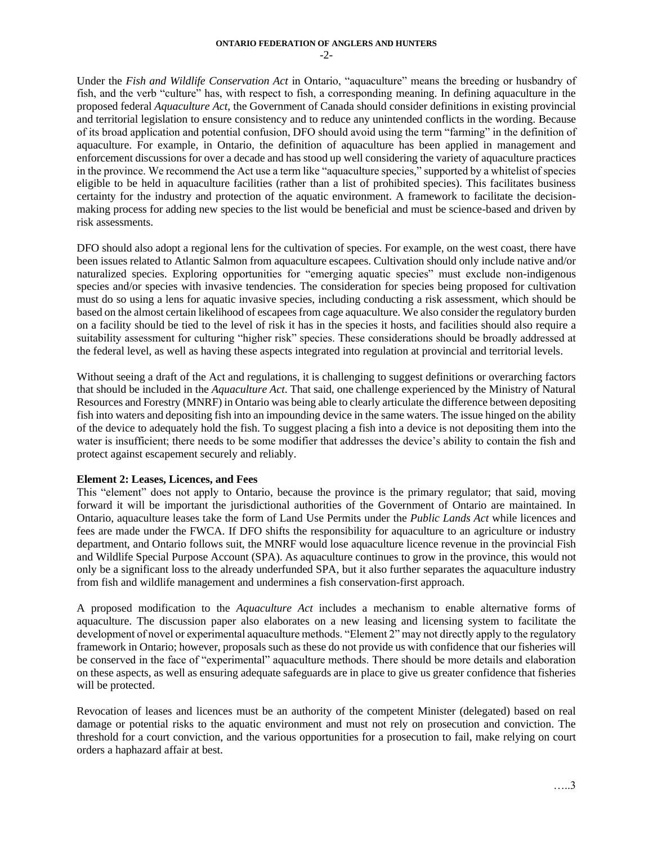Under the *Fish and Wildlife Conservation Act* in Ontario, "aquaculture" means the breeding or husbandry of fish, and the verb "culture" has, with respect to fish, a corresponding meaning. In defining aquaculture in the proposed federal *Aquaculture Act*, the Government of Canada should consider definitions in existing provincial and territorial legislation to ensure consistency and to reduce any unintended conflicts in the wording. Because of its broad application and potential confusion, DFO should avoid using the term "farming" in the definition of aquaculture. For example, in Ontario, the definition of aquaculture has been applied in management and enforcement discussions for over a decade and has stood up well considering the variety of aquaculture practices in the province. We recommend the Act use a term like "aquaculture species," supported by a whitelist of species eligible to be held in aquaculture facilities (rather than a list of prohibited species). This facilitates business certainty for the industry and protection of the aquatic environment. A framework to facilitate the decisionmaking process for adding new species to the list would be beneficial and must be science-based and driven by risk assessments.

DFO should also adopt a regional lens for the cultivation of species. For example, on the west coast, there have been issues related to Atlantic Salmon from aquaculture escapees. Cultivation should only include native and/or naturalized species. Exploring opportunities for "emerging aquatic species" must exclude non-indigenous species and/or species with invasive tendencies. The consideration for species being proposed for cultivation must do so using a lens for aquatic invasive species, including conducting a risk assessment, which should be based on the almost certain likelihood of escapees from cage aquaculture. We also consider the regulatory burden on a facility should be tied to the level of risk it has in the species it hosts, and facilities should also require a suitability assessment for culturing "higher risk" species. These considerations should be broadly addressed at the federal level, as well as having these aspects integrated into regulation at provincial and territorial levels.

Without seeing a draft of the Act and regulations, it is challenging to suggest definitions or overarching factors that should be included in the *Aquaculture Act*. That said, one challenge experienced by the Ministry of Natural Resources and Forestry (MNRF) in Ontario was being able to clearly articulate the difference between depositing fish into waters and depositing fish into an impounding device in the same waters. The issue hinged on the ability of the device to adequately hold the fish. To suggest placing a fish into a device is not depositing them into the water is insufficient; there needs to be some modifier that addresses the device's ability to contain the fish and protect against escapement securely and reliably.

### **Element 2: Leases, Licences, and Fees**

This "element" does not apply to Ontario, because the province is the primary regulator; that said, moving forward it will be important the jurisdictional authorities of the Government of Ontario are maintained. In Ontario, aquaculture leases take the form of Land Use Permits under the *Public Lands Act* while licences and fees are made under the FWCA. If DFO shifts the responsibility for aquaculture to an agriculture or industry department, and Ontario follows suit, the MNRF would lose aquaculture licence revenue in the provincial Fish and Wildlife Special Purpose Account (SPA). As aquaculture continues to grow in the province, this would not only be a significant loss to the already underfunded SPA, but it also further separates the aquaculture industry from fish and wildlife management and undermines a fish conservation-first approach.

A proposed modification to the *Aquaculture Act* includes a mechanism to enable alternative forms of aquaculture. The discussion paper also elaborates on a new leasing and licensing system to facilitate the development of novel or experimental aquaculture methods. "Element 2" may not directly apply to the regulatory framework in Ontario; however, proposals such as these do not provide us with confidence that our fisheries will be conserved in the face of "experimental" aquaculture methods. There should be more details and elaboration on these aspects, as well as ensuring adequate safeguards are in place to give us greater confidence that fisheries will be protected.

Revocation of leases and licences must be an authority of the competent Minister (delegated) based on real damage or potential risks to the aquatic environment and must not rely on prosecution and conviction. The threshold for a court conviction, and the various opportunities for a prosecution to fail, make relying on court orders a haphazard affair at best.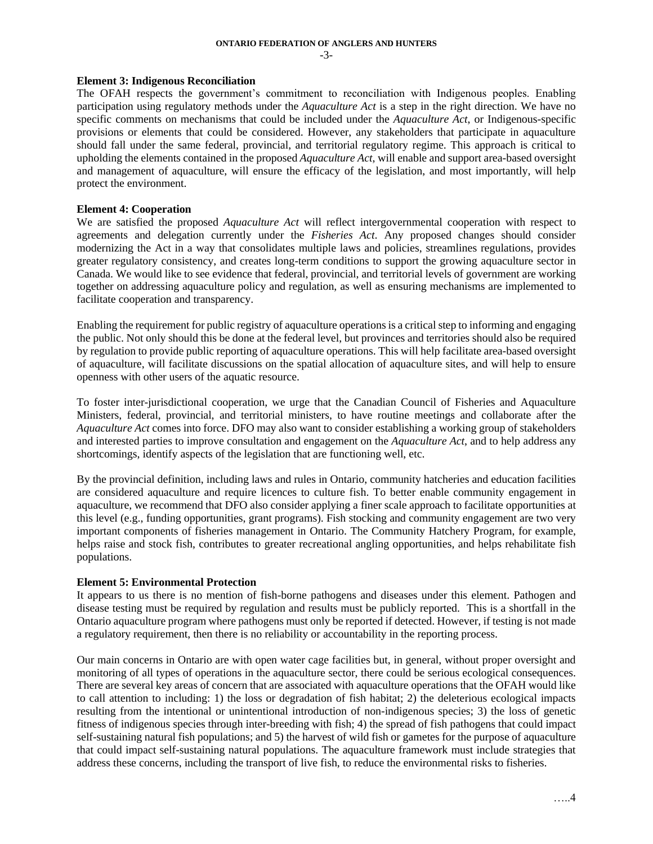$-3-$ 

#### **Element 3: Indigenous Reconciliation**

The OFAH respects the government's commitment to reconciliation with Indigenous peoples. Enabling participation using regulatory methods under the *Aquaculture Act* is a step in the right direction. We have no specific comments on mechanisms that could be included under the *Aquaculture Act*, or Indigenous-specific provisions or elements that could be considered. However, any stakeholders that participate in aquaculture should fall under the same federal, provincial, and territorial regulatory regime. This approach is critical to upholding the elements contained in the proposed *Aquaculture Act*, will enable and support area-based oversight and management of aquaculture, will ensure the efficacy of the legislation, and most importantly, will help protect the environment.

## **Element 4: Cooperation**

We are satisfied the proposed *Aquaculture Act* will reflect intergovernmental cooperation with respect to agreements and delegation currently under the *Fisheries Act*. Any proposed changes should consider modernizing the Act in a way that consolidates multiple laws and policies, streamlines regulations, provides greater regulatory consistency, and creates long-term conditions to support the growing aquaculture sector in Canada. We would like to see evidence that federal, provincial, and territorial levels of government are working together on addressing aquaculture policy and regulation, as well as ensuring mechanisms are implemented to facilitate cooperation and transparency.

Enabling the requirement for public registry of aquaculture operations is a critical step to informing and engaging the public. Not only should this be done at the federal level, but provinces and territories should also be required by regulation to provide public reporting of aquaculture operations. This will help facilitate area-based oversight of aquaculture, will facilitate discussions on the spatial allocation of aquaculture sites, and will help to ensure openness with other users of the aquatic resource.

To foster inter-jurisdictional cooperation, we urge that the Canadian Council of Fisheries and Aquaculture Ministers, federal, provincial, and territorial ministers, to have routine meetings and collaborate after the *Aquaculture Act* comes into force. DFO may also want to consider establishing a working group of stakeholders and interested parties to improve consultation and engagement on the *Aquaculture Act*, and to help address any shortcomings, identify aspects of the legislation that are functioning well, etc.

By the provincial definition, including laws and rules in Ontario, community hatcheries and education facilities are considered aquaculture and require licences to culture fish. To better enable community engagement in aquaculture, we recommend that DFO also consider applying a finer scale approach to facilitate opportunities at this level (e.g., funding opportunities, grant programs). Fish stocking and community engagement are two very important components of fisheries management in Ontario. The Community Hatchery Program, for example, helps raise and stock fish, contributes to greater recreational angling opportunities, and helps rehabilitate fish populations.

### **Element 5: Environmental Protection**

It appears to us there is no mention of fish-borne pathogens and diseases under this element. Pathogen and disease testing must be required by regulation and results must be publicly reported. This is a shortfall in the Ontario aquaculture program where pathogens must only be reported if detected. However, if testing is not made a regulatory requirement, then there is no reliability or accountability in the reporting process.

Our main concerns in Ontario are with open water cage facilities but, in general, without proper oversight and monitoring of all types of operations in the aquaculture sector, there could be serious ecological consequences. There are several key areas of concern that are associated with aquaculture operations that the OFAH would like to call attention to including: 1) the loss or degradation of fish habitat; 2) the deleterious ecological impacts resulting from the intentional or unintentional introduction of non-indigenous species; 3) the loss of genetic fitness of indigenous species through inter-breeding with fish; 4) the spread of fish pathogens that could impact self-sustaining natural fish populations; and 5) the harvest of wild fish or gametes for the purpose of aquaculture that could impact self-sustaining natural populations. The aquaculture framework must include strategies that address these concerns, including the transport of live fish, to reduce the environmental risks to fisheries.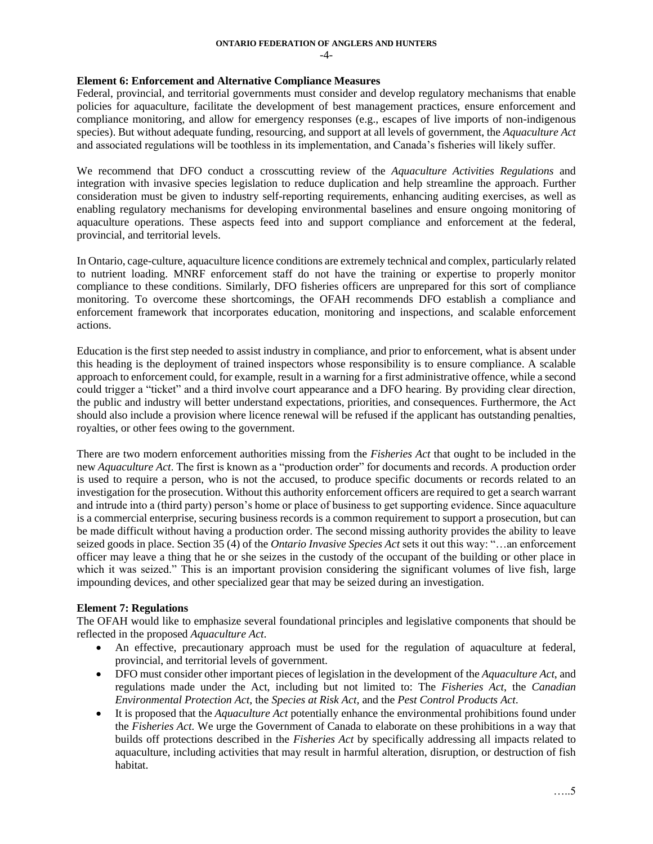#### **ONTARIO FEDERATION OF ANGLERS AND HUNTERS** -4-

### **Element 6: Enforcement and Alternative Compliance Measures**

Federal, provincial, and territorial governments must consider and develop regulatory mechanisms that enable policies for aquaculture, facilitate the development of best management practices, ensure enforcement and compliance monitoring, and allow for emergency responses (e.g., escapes of live imports of non-indigenous species). But without adequate funding, resourcing, and support at all levels of government, the *Aquaculture Act* and associated regulations will be toothless in its implementation, and Canada's fisheries will likely suffer.

We recommend that DFO conduct a crosscutting review of the *Aquaculture Activities Regulations* and integration with invasive species legislation to reduce duplication and help streamline the approach. Further consideration must be given to industry self-reporting requirements, enhancing auditing exercises, as well as enabling regulatory mechanisms for developing environmental baselines and ensure ongoing monitoring of aquaculture operations. These aspects feed into and support compliance and enforcement at the federal, provincial, and territorial levels.

In Ontario, cage-culture, aquaculture licence conditions are extremely technical and complex, particularly related to nutrient loading. MNRF enforcement staff do not have the training or expertise to properly monitor compliance to these conditions. Similarly, DFO fisheries officers are unprepared for this sort of compliance monitoring. To overcome these shortcomings, the OFAH recommends DFO establish a compliance and enforcement framework that incorporates education, monitoring and inspections, and scalable enforcement actions.

Education is the first step needed to assist industry in compliance, and prior to enforcement, what is absent under this heading is the deployment of trained inspectors whose responsibility is to ensure compliance. A scalable approach to enforcement could, for example, result in a warning for a first administrative offence, while a second could trigger a "ticket" and a third involve court appearance and a DFO hearing. By providing clear direction, the public and industry will better understand expectations, priorities, and consequences. Furthermore, the Act should also include a provision where licence renewal will be refused if the applicant has outstanding penalties, royalties, or other fees owing to the government.

There are two modern enforcement authorities missing from the *Fisheries Act* that ought to be included in the new *Aquaculture Act*. The first is known as a "production order" for documents and records. A production order is used to require a person, who is not the accused, to produce specific documents or records related to an investigation for the prosecution. Without this authority enforcement officers are required to get a search warrant and intrude into a (third party) person's home or place of business to get supporting evidence. Since aquaculture is a commercial enterprise, securing business records is a common requirement to support a prosecution, but can be made difficult without having a production order. The second missing authority provides the ability to leave seized goods in place. Section 35 (4) of the *Ontario Invasive Species Act* sets it out this way: "…an enforcement officer may leave a thing that he or she seizes in the custody of the occupant of the building or other place in which it was seized." This is an important provision considering the significant volumes of live fish, large impounding devices, and other specialized gear that may be seized during an investigation.

### **Element 7: Regulations**

The OFAH would like to emphasize several foundational principles and legislative components that should be reflected in the proposed *Aquaculture Act*.

- An effective, precautionary approach must be used for the regulation of aquaculture at federal, provincial, and territorial levels of government.
- DFO must consider other important pieces of legislation in the development of the *Aquaculture Act*, and regulations made under the Act, including but not limited to: The *Fisheries Act*, the *Canadian Environmental Protection Act*, the *Species at Risk Act,* and the *Pest Control Products Act*.
- It is proposed that the *Aquaculture Act* potentially enhance the environmental prohibitions found under the *Fisheries Act*. We urge the Government of Canada to elaborate on these prohibitions in a way that builds off protections described in the *Fisheries Act* by specifically addressing all impacts related to aquaculture, including activities that may result in harmful alteration, disruption, or destruction of fish habitat.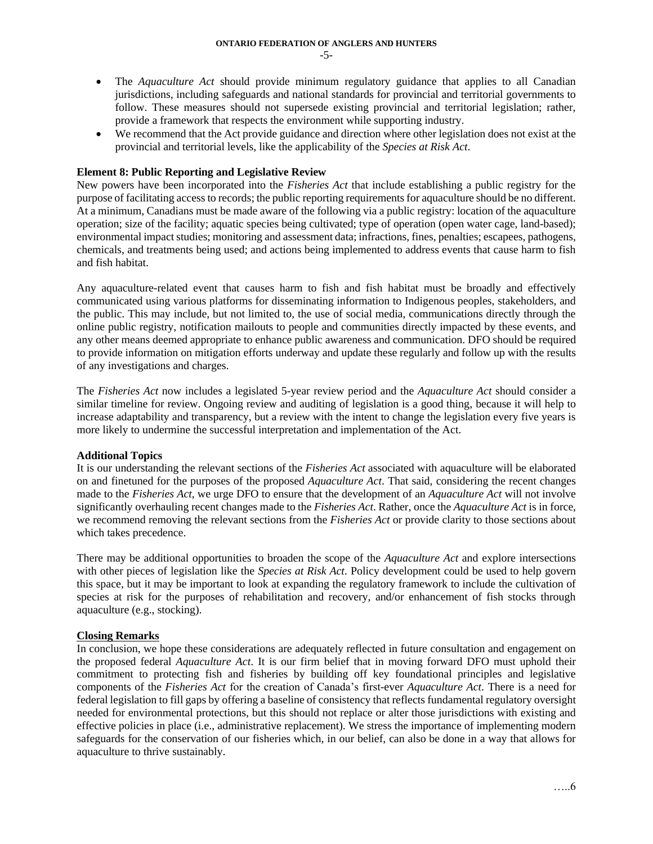- The *Aquaculture Act* should provide minimum regulatory guidance that applies to all Canadian jurisdictions, including safeguards and national standards for provincial and territorial governments to follow. These measures should not supersede existing provincial and territorial legislation; rather, provide a framework that respects the environment while supporting industry.
- We recommend that the Act provide guidance and direction where other legislation does not exist at the provincial and territorial levels, like the applicability of the *Species at Risk Act*.

## **Element 8: Public Reporting and Legislative Review**

New powers have been incorporated into the *Fisheries Act* that include establishing a public registry for the purpose of facilitating access to records; the public reporting requirements for aquaculture should be no different. At a minimum, Canadians must be made aware of the following via a public registry: location of the aquaculture operation; size of the facility; aquatic species being cultivated; type of operation (open water cage, land-based); environmental impact studies; monitoring and assessment data; infractions, fines, penalties; escapees, pathogens, chemicals, and treatments being used; and actions being implemented to address events that cause harm to fish and fish habitat.

Any aquaculture-related event that causes harm to fish and fish habitat must be broadly and effectively communicated using various platforms for disseminating information to Indigenous peoples, stakeholders, and the public. This may include, but not limited to, the use of social media, communications directly through the online public registry, notification mailouts to people and communities directly impacted by these events, and any other means deemed appropriate to enhance public awareness and communication. DFO should be required to provide information on mitigation efforts underway and update these regularly and follow up with the results of any investigations and charges.

The *Fisheries Act* now includes a legislated 5-year review period and the *Aquaculture Act* should consider a similar timeline for review. Ongoing review and auditing of legislation is a good thing, because it will help to increase adaptability and transparency, but a review with the intent to change the legislation every five years is more likely to undermine the successful interpretation and implementation of the Act.

### **Additional Topics**

It is our understanding the relevant sections of the *Fisheries Act* associated with aquaculture will be elaborated on and finetuned for the purposes of the proposed *Aquaculture Act*. That said, considering the recent changes made to the *Fisheries Act*, we urge DFO to ensure that the development of an *Aquaculture Act* will not involve significantly overhauling recent changes made to the *Fisheries Act*. Rather, once the *Aquaculture Act* is in force, we recommend removing the relevant sections from the *Fisheries Act* or provide clarity to those sections about which takes precedence.

There may be additional opportunities to broaden the scope of the *Aquaculture Act* and explore intersections with other pieces of legislation like the *Species at Risk Act*. Policy development could be used to help govern this space, but it may be important to look at expanding the regulatory framework to include the cultivation of species at risk for the purposes of rehabilitation and recovery, and/or enhancement of fish stocks through aquaculture (e.g., stocking).

# **Closing Remarks**

In conclusion, we hope these considerations are adequately reflected in future consultation and engagement on the proposed federal *Aquaculture Act*. It is our firm belief that in moving forward DFO must uphold their commitment to protecting fish and fisheries by building off key foundational principles and legislative components of the *Fisheries Act* for the creation of Canada's first-ever *Aquaculture Act*. There is a need for federal legislation to fill gaps by offering a baseline of consistency that reflects fundamental regulatory oversight needed for environmental protections, but this should not replace or alter those jurisdictions with existing and effective policies in place (i.e., administrative replacement). We stress the importance of implementing modern safeguards for the conservation of our fisheries which, in our belief, can also be done in a way that allows for aquaculture to thrive sustainably.